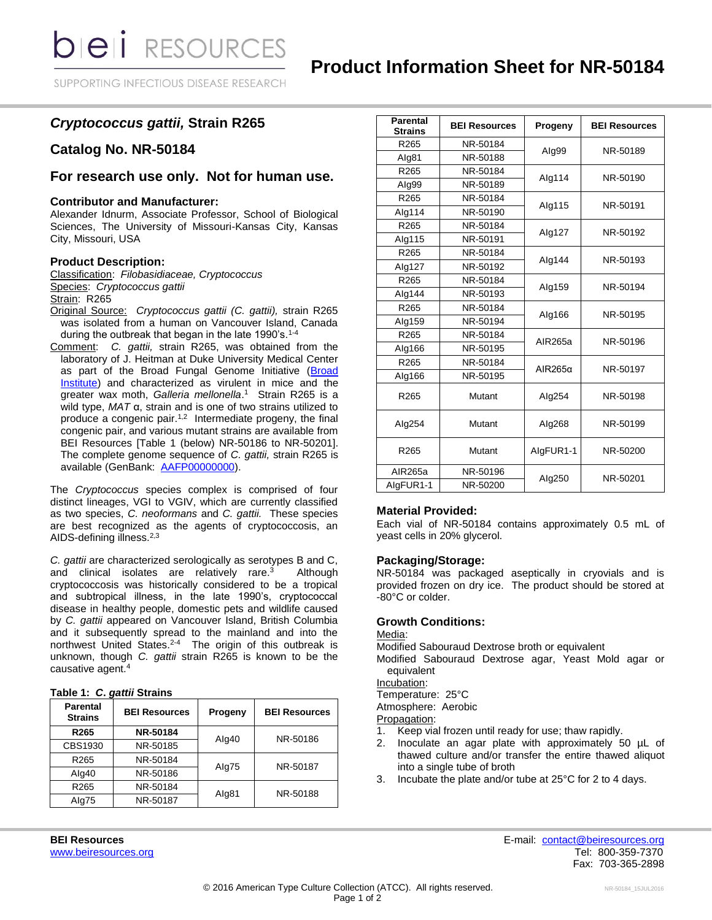SUPPORTING INFECTIOUS DISEASE RESEARCH

# *Cryptococcus gattii,* **Strain R265**

### **Catalog No. NR-50184**

## **For research use only. Not for human use.**

#### **Contributor and Manufacturer:**

Alexander Idnurm, Associate Professor, School of Biological Sciences, The University of Missouri-Kansas City, Kansas City, Missouri, USA

### **Product Description:**

Classification: *Filobasidiaceae, Cryptococcus* Species: *Cryptococcus gattii* Strain: R265

- Original Source: *Cryptococcus gattii (C. gattii),* strain R265 was isolated from a human on Vancouver Island, Canada during the outbreak that began in the late 1990's.<sup>1-4</sup>
- Comment: *C. gattii,* strain R265, was obtained from the laboratory of J. Heitman at Duke University Medical Center as part of the Broad Fungal Genome Initiative [\(Broad](http://www.broadinstitute.org/annotation/genome/cryptococcus_neoformans_b/MultiHome.html)  [Institute\)](http://www.broadinstitute.org/annotation/genome/cryptococcus_neoformans_b/MultiHome.html) and characterized as virulent in mice and the greater wax moth, *Galleria mellonella*. 1 Strain R265 is a wild type, *MAT* α, strain and is one of two strains utilized to produce a congenic pair.<sup>1,2</sup> Intermediate progeny, the final congenic pair, and various mutant strains are available from BEI Resources [Table 1 (below) NR-50186 to NR-50201]. The complete genome sequence of *C. gattii,* strain R265 is available (GenBank: [AAFP00000000\)](http://www.ncbi.nlm.nih.gov/nuccore/AAFP00000000.1).

The *Cryptococcus* species complex is comprised of four distinct lineages, VGI to VGIV, which are currently classified as two species, *C. neoformans* and *C. gattii.* These species are best recognized as the agents of cryptococcosis, an AIDS-defining illness.<sup>2,3</sup>

*C. gattii* are characterized serologically as serotypes B and C, and clinical isolates are relatively rare.<sup>3</sup> Although cryptococcosis was historically considered to be a tropical and subtropical illness, in the late 1990's, cryptococcal disease in healthy people, domestic pets and wildlife caused by *C. gattii* appeared on Vancouver Island, British Columbia and it subsequently spread to the mainland and into the northwest United States.<sup>2-4</sup> The origin of this outbreak is unknown, though *C. gattii* strain R265 is known to be the causative agent.<sup>4</sup>

|  |  |  |  | Table 1: C. gattii Strains |
|--|--|--|--|----------------------------|
|--|--|--|--|----------------------------|

| <b>Parental</b><br><b>Strains</b> | <b>BEI Resources</b> | Progeny | <b>BEI Resources</b> |
|-----------------------------------|----------------------|---------|----------------------|
| R <sub>265</sub>                  | NR-50184             |         | NR-50186             |
| CBS1930                           | NR-50185             | Alg40   |                      |
| R <sub>265</sub>                  | NR-50184             | Alg75   | NR-50187             |
| Alg40                             | NR-50186             |         |                      |
| R265                              | NR-50184             | Alg81   | NR-50188             |
| Alg75                             | NR-50187             |         |                      |

| <b>Parental</b><br><b>Strains</b> | <b>BEI Resources</b> | Progeny        | <b>BEI Resources</b> |
|-----------------------------------|----------------------|----------------|----------------------|
| R265                              | NR-50184             | Alg99          | NR-50189             |
| Alg81                             | NR-50188             |                |                      |
| R265                              | NR-50184             | Alg114         | NR-50190             |
| Alg99                             | NR-50189             |                |                      |
| R265                              | NR-50184             | Alg115         | NR-50191             |
| Alg114                            | NR-50190             |                |                      |
| R <sub>265</sub>                  | NR-50184             |                | NR-50192             |
| Alg115                            | NR-50191             | Alg127         |                      |
| R265                              | NR-50184             |                | NR-50193             |
| Alg127                            | NR-50192             | Alg144         |                      |
| R265                              | NR-50184             | Alg159         | NR-50194             |
| Alg144                            | NR-50193             |                |                      |
| R265                              | NR-50184             | Alg166         | NR-50195             |
| Alg159                            | NR-50194             |                |                      |
| R265                              | NR-50184             | AIR265a        | NR-50196             |
| Alg166                            | NR-50195             |                |                      |
| R265                              | NR-50184             | $AIR265\alpha$ | NR-50197             |
| Alg166                            | NR-50195             |                |                      |
| R265                              | Mutant               | Alg254         | NR-50198             |
| Alg254                            | Mutant               | Alg268         | NR-50199             |
| R <sub>265</sub>                  | Mutant               | AlgFUR1-1      | NR-50200             |
| AIR265a                           | NR-50196             | Alg250         | NR-50201             |
| AlgFUR1-1                         | NR-50200             |                |                      |

#### **Material Provided:**

Each vial of NR-50184 contains approximately 0.5 mL of yeast cells in 20% glycerol.

#### **Packaging/Storage:**

NR-50184 was packaged aseptically in cryovials and is provided frozen on dry ice. The product should be stored at -80°C or colder.

#### **Growth Conditions:**

#### Media:

Modified Sabouraud Dextrose broth or equivalent

Modified Sabouraud Dextrose agar, Yeast Mold agar or equivalent

Incubation:

Temperature: 25°C

Atmosphere: Aerobic

Propagation:<br>1. Keep via

- Keep vial frozen until ready for use; thaw rapidly.
- 2. Inoculate an agar plate with approximately 50 µL of thawed culture and/or transfer the entire thawed aliquot into a single tube of broth
- 3. Incubate the plate and/or tube at 25°C for 2 to 4 days.

**BEI Resources** E-mail: [contact@beiresources.org](mailto:contact@beiresources.org) [www.beiresources.org](http://www.beiresources.org/) Network and the second state of the second state of the second state of the second state of the second state of the second state of the second state of the second state of the second state of the secon Fax: 703-365-2898